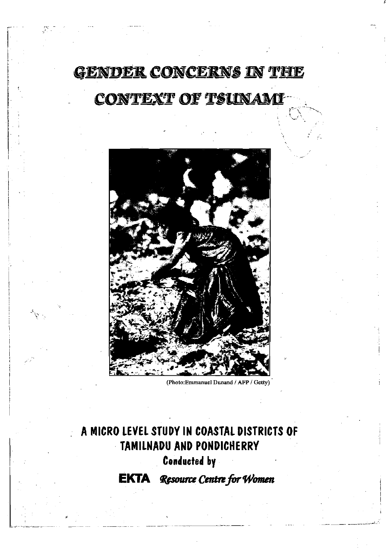# **GENDER CONCERNS IN THE** CONTEXT OF TSUNAMI



**(PhotorEmmamiel Dunand / AFP / Getty)** 

### **A MICRO LEVEL STUDY IN COASTAL DISTRICTS OF TAMILNADU AND PONDICHERRY**

**Conducted by** 

**EKTA** *Resource Centre for 'Women*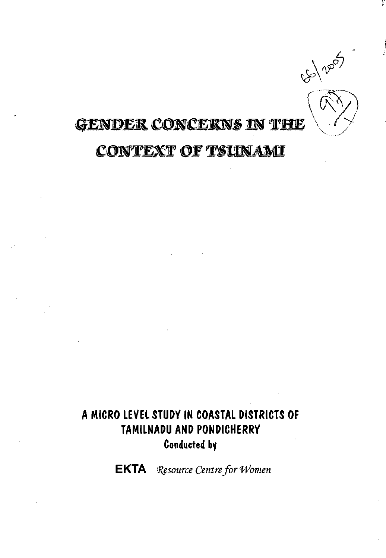

## **GENDER CONCERNS IN THE**

### **CONTEXT OF TSUNAMI**

### **A MICRO LEVEL STUDY IN COASTAL DISTRICTS OF TAMILNADU AND PONDICHERRY Conducted by**

**EKTA** Resource Centre for Women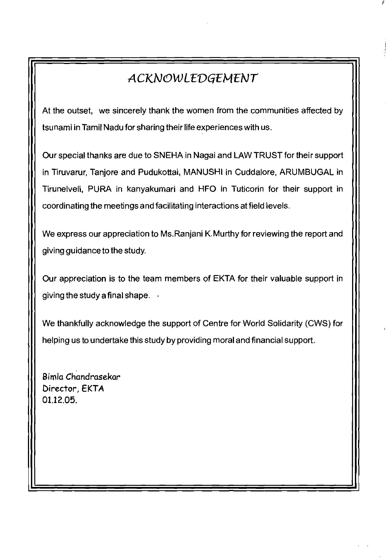### *ACKNOWLEDGEMENT*

At the outset, we sincerely thank the women from the communities affected by tsunami in Tamil Nadu for sharing their life experiences with us.

Our special thanks are due to SNEHA in Nagai and LAW TRUST for their support in Tiruvarur, Tanjore and Pudukottai, MANUSHI in Cuddalore, ARUMBUGAL in Tirunelveli, PURA in kanyakumari and HFO in Tuticorin for their support in coordinating the meetings and facilitating interactions at field levels.

We express our appreciation to Ms.Ranjani K.Murthy for reviewing the report and giving guidance to the study.

Our appreciation is to the team members of EKTA for their valuable support in giving the study a final shape.  $\rightarrow$ 

We thankfully acknowledge the support of Centre for World Solidarity (CWS) for helping us to undertake this study by providing moral and financial support.

**Bimla Chandrasekar Director, EKTA**  01.12.05.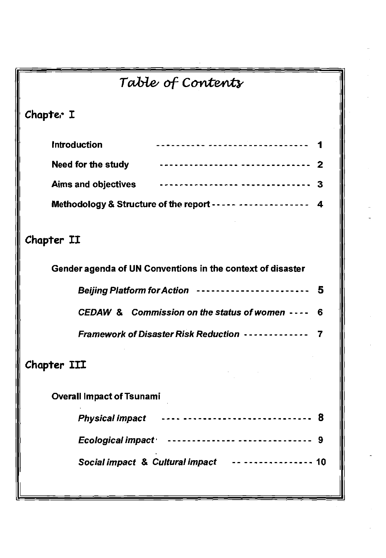| Table of Contents                                                    |  |
|----------------------------------------------------------------------|--|
| Chapter I                                                            |  |
| <b>Introduction</b><br>_______________________________               |  |
| Need for the study<br>----------------- --------------<br>2          |  |
| ---------------------------------<br><b>Aims and objectives</b><br>3 |  |
| Methodology & Structure of the report ----- --------------<br>-4     |  |
| Chapter II                                                           |  |
| Gender agenda of UN Conventions in the context of disaster           |  |
| 5<br><b>Beijing Platform for Action</b><br>-----------------------   |  |
| CEDAW & Commission on the status of women ----<br>6                  |  |
| <b>Framework of Disaster Risk Reduction --------------</b><br>7      |  |
| Chapter III                                                          |  |
| <b>Overall Impact of Tsunami</b>                                     |  |
| <b>Physical impact</b><br>8                                          |  |
| <b>Ecological impact</b><br>____________________________<br>9        |  |
| Social impact & Cultural impact<br>10                                |  |
|                                                                      |  |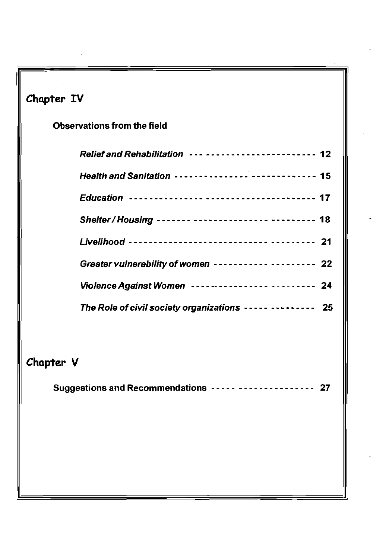| Chapter IV                                                |
|-----------------------------------------------------------|
| <b>Observations from the field</b>                        |
| Relief and Rehabilitation ------------------------ 12     |
| Health and Sanitation --------------- ------------ 15     |
|                                                           |
| Shelter / Housing ------- --------------- --------- 18    |
|                                                           |
| Greater vulnerability of women ----------- -------- 22    |
| Violence Against Women ---------------- -------- 24       |
| The Role of civil society organizations ----- -------- 25 |
| Chapter V                                                 |
| Suggestions and Recommendations ----- --------------- 27  |
|                                                           |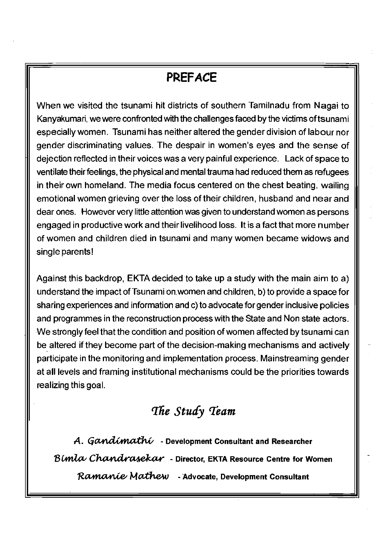### **PREFACE**

When we visited the tsunami hit districts of southern Tamilnadu from Nagai to Kanyakumari, we were confronted with the challenges faced by the victims of tsunami especially women. Tsunami has neither altered the gender division of labour nor gender discriminating values. The despair in women's eyes and the sense of dejection reflected in their voices was a very painful experience. Lack of space to ventilate their feelings, the physical and mental trauma had reduced them as refugees in their own homeland. The media focus centered on the chest beating, wailing emotional women grieving over the loss of their children, husband and near and dear ones. However very little attention was given to understand women as persons engaged in productive work and their livelihood loss. It is a fact that more number of women and children died in tsunami and many women became widows and single parents!

Against this backdrop, EKTA decided to take up a study with the main aim to a) understand the impact of Tsunami on. women and children, b) to provide a space for sharing experiences and information and c) to advocate for gender inclusive policies and programmes in the reconstruction process with the State and Non state actors. We strongly feel that the condition and position of women affected by tsunami can be altered if they become part of the decision-making mechanisms and actively participate in the monitoring and implementation process. Mainstreaming gender at all levels and framing institutional mechanisms could be the priorities towards realizing this goal.

### *The Study Team*

*A. Gandimathi* - Development Consultant and Researcher Bimla Chandrasekar - Director, EKTA Resource Centre for Women Ramanie Mathew - Advocate, Development Consultant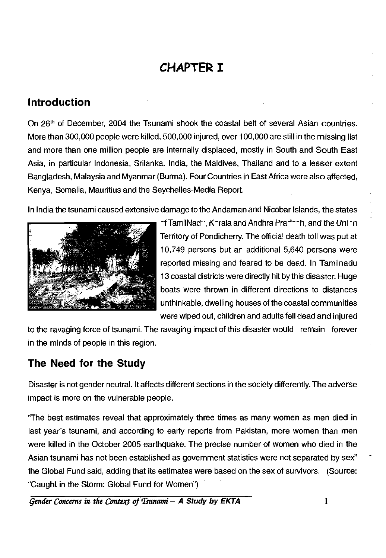### **CHAPTER I**

#### <span id="page-6-0"></span>**Introduction**

On 26<sup>th</sup> of December, 2004 the Tsunami shook the coastal belt of several Asian countries. More than 300,000 people were killed, 500,000 injured, over 100,000 are still in the missing list and more than one million people are internally displaced, mostly in South and South East Asia, in particular Indonesia, Srilanka, India, the Maldives, Thailand and to a lesser extent Bangladesh, Malaysia and Myanmar (Burma). Four Countries in East Africa were also affected, Kenya, Somalia, Mauritius and the Seychelles-Media Report.

In India the tsunami caused extensive damage to the Andaman and Nicobar Islands, the states



of TamilNadu, Korala and Andhra Pradech, and the Union Territory of Pondicherry. The official death toll was put at 10,749 persons but an additional 5,640 persons were reported missing and feared to be dead. In Tamilnadu 13 coastal districts were directly hit by this disaster. Huge boats were thrown in different directions to distances unthinkable, dwelling houses of the coastal communities were wiped out, children and adults fell dead and injured

to the ravaging force of tsunami. The ravaging impact of this disaster would remain forever in the minds of people in this region.

### <span id="page-6-1"></span>**The Need for the Study**

Disaster is not gender neutral. It affects different sections in the society differently. The adverse impact is more on the vulnerable people.

"The best estimates reveal that approximately three times as many women as men died in last year's tsunami, and according to early reports from Pakistan, more women than men were killed in the October 2005 earthquake. The precise number of women who died in the Asian tsunami has not been established as government statistics were not separated by sex" the Global Fund said, adding that its estimates were based on the sex of survivors. (Source: "Caught in the Storm: Global Fund for Women")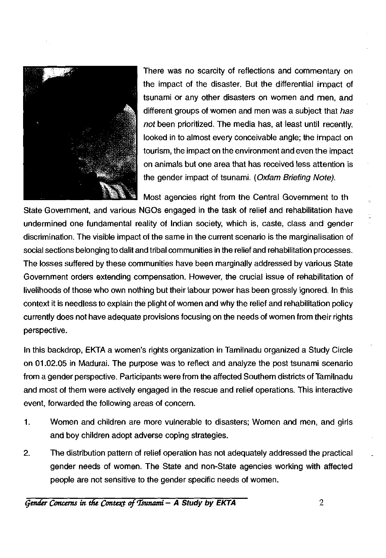

There was no scarcity of reflections and commentary on the impact of the disaster. But the differential impact of tsunami or any other disasters on women and men, and different groups of women and men was a subject that *has not* been prioritized. The media has, at least until recently, looked in to almost every conceivable angle; the impact on tourism, the impact on the environment and even the impact on animals but one area that has received less attention is the gender impact of tsunami. *(Oxfam Briefing Note).* 

Most agencies right from the Central Government to the

State Government, and various NGOs engaged in the task of relief and rehabilitation have undermined one fundamental reality of Indian society, which is, caste, class and gender discrimination. The visible impact of the same in the current scenario is the marginalisation of social sections belonging to dalit and tribal communities in the relief and rehabilitation processes. The losses suffered by these communities have been marginally addressed by various State Government orders extending compensation. However, the crucial issue of rehabilitation of livelihoods of those who own nothing but their labour power has been grossly ignored. In this context it is needless to explain the plight of women and why the relief and rehabilitation policy currently does not have adequate provisions focusing on the needs of women from their rights perspective.

In this backdrop, EKTA a women's rights organization in Tamilnadu organized a Study Circle on 01.02.05 in Madurai. The purpose was to reflect and analyze the post tsunami scenario from a gender perspective. Participants were from the affected Southern districts of Tamilnadu and most of them were actively engaged in the rescue and relief operations. This interactive event, forwarded the following areas of concern.

- 1. Women and children are more vulnerable to disasters; Women and men, and girls and boy children adopt adverse coping strategies.
- 2. The distribution pattern of relief operation has not adequately addressed the practical gender needs of women. The State and non-State agencies working with affected people are not sensitive to the gender specific needs of women.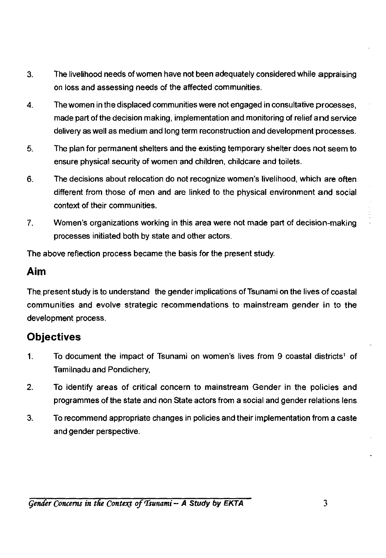- 3. The livelihood needs of women have not been adequately considered while appraising on loss and assessing needs of the affected communities.
- 4. The women in the displaced communities were not engaged in consultative processes, made part of the decision making, implementation and monitoring of relief and service delivery as well as medium and long term reconstruction and development processes.
- 5. The plan for permanent shelters and the existing temporary shelter does not seem to ensure physical security of women and children, childcare and toilets.
- 6. The decisions about relocation do not recognize women's livelihood, which are often different from those of men and are linked to the physical environment and social context of their communities.
- 7. Women's organizations working in this area were not made part of decision-making processes initiated both by state and other actors.

The above reflection process became the basis for the present study.

#### **Aim**

The, present study is to understand the gender implications of Tsunami on the lives of coastal communities and evolve strategic recommendations to mainstream gender in to the development process.

### **Objectives**

- 1. To document the impact of Tsunami on women's lives from 9 coastal districts<sup>1</sup> of Tamilnadu and Pondichery,
- 2. To identify areas of critical concern to mainstream Gender in the policies and programmes of the state and non State actors from a social and gender relations lens
- 3. To recommend appropriate changes in policies and their implementation from a caste and gender perspective.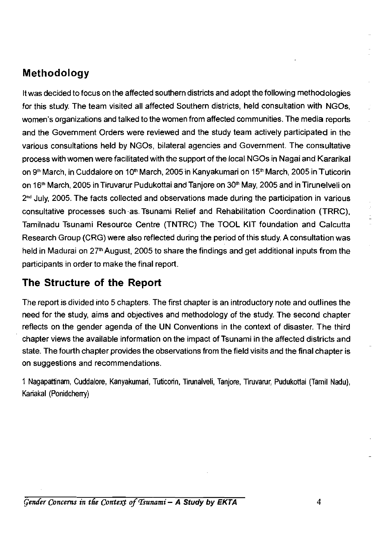#### **Methodology**

It was decided to focus on the affected southern districts and adopt the following methodologies for this study. The team visited all affected Southern districts, held consultation with NGOs, women's organizations and talked to the women from affected communities. The media reports and the Government Orders were reviewed and the study team actively participated in the various consultations held by NGOs, bilateral agencies and Government. The consultative process with women were facilitated with the support of the local NGOs in Nagai and Kararikal on 9<sup>th</sup> March, in Cuddalore on 10<sup>th</sup> March, 2005 in Kanyakumari on 15<sup>th</sup> March, 2005 in Tuticorin on 16<sup>th</sup> March, 2005 in Tiruvarur Pudukottai and Tanjore on 30<sup>th</sup> May, 2005 and in Tirunelveli on 2<sup>nd</sup> July, 2005. The facts collected and observations made during the participation in various consultative processes such as-Tsunami Relief and Rehabilitation Coordination (TRRC), Tamilnadu Tsunami Resource Centre (TNTRC) The TOOL KIT foundation and Calcutta Research Group (CRG) were also reflected during the period of this study. A consultation was held in Madurai on 27<sup>th</sup> August, 2005 to share the findings and get additional inputs from the participants in order to make the final report.

#### <span id="page-9-0"></span>**The Structure of the Report**

The report is divided into 5 chapters. The first chapter is an introductory note and outlines the need for the study, aims and objectives and methodology of the study. The second chapter reflects on the gender agenda of the UN Conventions in the context of disaster. The third chapter views the available information on the impact of Tsunami in the affected districts and state. The fourth chapter provides the observations from the field visits and the final chapter is on suggestions and recommendations.

1 Nagapattinam, Cuddalore, Kanyakumari, Tuticorin, Tirunalveli, Tanjore, Tiruvarur, Pudukottai (Tamil Nadu), Kariakal (Ponidcherry)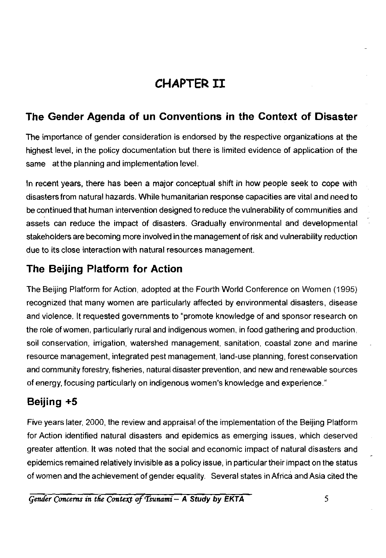### **CHAPTER III**

#### **The Gender Agenda of un Conventions in the Context of Disaster**

The importance of gender consideration is endorsed by the respective organizations at the highest level, in the policy documentation but there is limited evidence of application of the same at the planning and implementation level.

In recent years, there has been a major conceptual shift in how people seek to cope with disasters from natural hazards. While humanitarian response capacities are vital and need to be continued that human intervention designed to reduce the vulnerability of communities and assets can reduce the impact of disasters. Gradually environmental and developmental stakeholders are becoming more involved in the management of risk and vulnerability reduction due to its close interaction with natural resources management.

#### <span id="page-10-0"></span>**The Beijing Platform for Action**

The Beijing Platform for Action, adopted at the Fourth World Conference on Women (1995) recognized that many women are particularly affected by environmental disasters, disease and violence. It requested governments to "promote knowledge of and sponsor research on the role of women, particularly rural and indigenous women, in food gathering and production, soil conservation, irrigation, watershed management, sanitation, coastal zone and marine resource management, integrated pest management, land-use planning, forest conservation and community forestry, fisheries, natural disaster prevention, and new and renewable sources of energy, focusing particularly on indigenous women's knowledge and experience."

### **Beijing +5**

Five years later, 2000, the review and appraisal of the implementation of the Beijing Platform for Action identified natural disasters and epidemics as emerging issues, which deserved greater attention. It was noted that the social and economic impact of natural disasters and epidemics remained relatively invisible as a policy issue, in particular their impact on the status of women and the achievement of gender equality. Several states in Africa and Asia cited the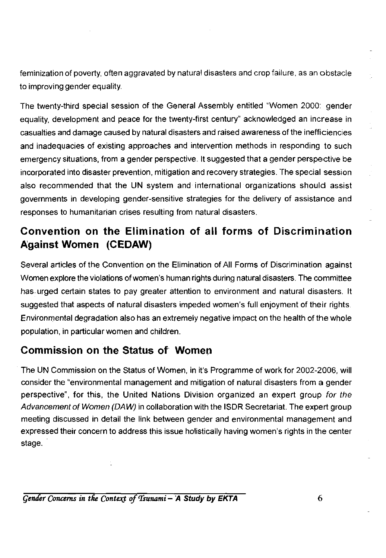feminization of poverty, often aggravated by natural disasters and crop failure, as an obstacle to improving gender equality.

The twenty-third special session of the General Assembly entitled "Women 2000: gender equality, development and peace for the twenty-first century" acknowledged an increase in casualties and damage caused by natural disasters and raised awareness of the inefficiencies and inadequacies of existing approaches and intervention methods in responding to such emergency situations, from a gender perspective. It suggested that a gender perspective be incorporated into disaster prevention, mitigation and recovery strategies. The special session also recommended that the UN system and international organizations should assist governments in developing gender-sensitive strategies for the delivery of assistance and responses to humanitarian crises resulting from natural disasters.

#### **Convention on the Elimination of all forms of Discrimination Against Women (CEDAW)**

Several articles of the Convention on the Elimination of All Forms of Discrimination against Women explore the violations of women's human rights during natural disasters. The committee has. urged certain states to pay greater attention to environment and natural disasters. It suggested that aspects of natural disasters impeded women's full enjoyment of their rights. Environmental degradation also has an extremely negative impact on the health of the whole population, in particular women and children.

#### <span id="page-11-0"></span>**Commission on the Status of Women**

The UN Commission on the Status of Women, in it's Programme of work for 2002-2006, will consider the "environmental management and mitigation of natural disasters from a gender perspective", for this, the United Nations Division organized an expert group *for the Advancement of Women (DAW)* in collaboration with the ISDR Secretariat. The expert group meeting discussed in detail the link between gender and environmental management and expressed their concern to address this issue holistically having women's rights in the center stage.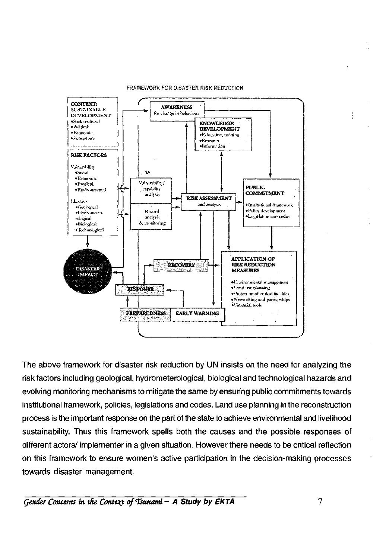

#### FRAMEWORK FOR DISASTER RISK REDUCTION

The above framework for disaster risk reduction by UN insists on the need for analyzing the risk factors including geological, hydrometerological, biological and technological hazards and evolving monitoring mechanisms to mitigate the same by ensuring public commitments towards institutional framework, policies, legislations and codes. Land use planning in the reconstruction process is the important response on the part of the state to achieve environmental and livelihood sustainability. Thus this framework spells both the causes and the possible responses of different actors/ implementer in a given situation. However there needs to be critical reflection on this framework to ensure women's active participation in the decision-making processes towards disaster management.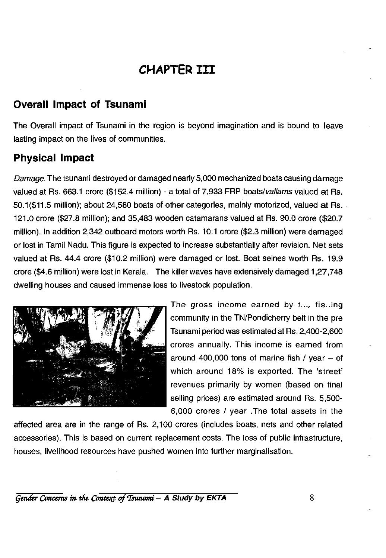### **CHAPTER III**

#### **Overall Impact of Tsunami**

The Overall impact of Tsunami in the region is beyond imagination and is bound to leave lasting impact on the lives of communities.

#### <span id="page-13-0"></span>**Physical Impact**

*Damage.* The tsunami destroyed or damaged nearly 5,000 mechanized boats causing damage valued at Rs. 663.1 crore (\$152.4 million) - a total of 7,933 FRP boats*/vallams* valued at Rs. 50.1(\$11.5 million); about 24,580 boats of other categories, mainly motorized, valued at Rs. 121.0 crore (\$27.8 million); and 35,483 wooden catamarans valued at Rs. 90.0 crore (\$20.7 million). In addition 2,342 outboard motors worth Rs. 10.1 crore (\$2.3 million) were damaged or lost in Tamil Nadu. This figure is expected to increase substantially after revision. Net sets valued at Rs. 44.4 crore (\$10.2 million) were damaged or lost. Boat seines worth Rs. 19.9 crore (\$4.6 million) were lost in Kerala. The killer waves have extensively damaged 1,27,748 dwelling houses and caused immense loss to livestock population.



The gross income earned by  $t_{\text{max}}$  fishing community in the TN/Pondicherry belt in the pre Tsunami period was estimated at Rs. 2,400-2,600 crores annually. This income is earned from around 400,000 tons of marine fish / year  $-$  of which around 18% is exported. The 'street' revenues primarily by women (based on final selling prices) are estimated around Rs. 5,500- 6,000 crores / year .The total assets in the

affected area are in the range of Rs. 2,100 crores (includes boats, nets and other related accessories). This is based on current replacement costs. The loss of public infrastructure, houses, livelihood resources have pushed women into further marginalisation.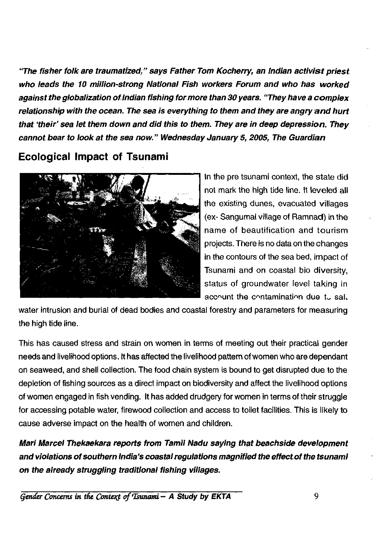*"The fisher folk are traumatized," says Father Tom Kocherry, an Indian activist priest who leads the 10 million-strong National Fish workers Forum and who has worked against the globalization of Indian fishing for more than 30 years. "They have a complex relationship with the ocean. The sea is everything to them and they are angry and hurt that 'their' sea let them down and did this to them. They are in deep depression. They cannot bear to look at the sea now." Wednesday January 5, 2005, The Guardian* 

**Ecological Impact of Tsunami** 



In the pre tsunami context, the state did not mark the high tide line. It leveled all the existing dunes, evacuated villages (ex- Sangumal village of Ramnad) in the name of beautification and tourism projects. There is no data on the changes in the contours of the sea bed, impact of Tsunami and on coastal bio diversity, status of groundwater level taking in account the contamination due to salt

water intrusion and burial of dead bodies and coastal forestry and parameters for measuring the high tide line.

This has caused stress and strain on women in terms of meeting out their practical gender needs and livelihood options. It has affected the livelihood pattern of women who are dependant on seaweed, and shell collection. The food chain system is bound to get disrupted due to the depletion of fishing sources as a direct impact on biodiversity and affect the livelihood options of women engaged in fish vending. It has added drudgery for women in terms of their struggle for accessing potable water, firewood collection and access to toilet facilities. This is likely to cause adverse impact on the health of women and children.

*Mari Marcel Thekaekara reports from Tamil Nadu saying that beachside development and violations of southern India's coastal regulations magnified the effect of the tsunami on the already struggling traditional fishing villages.*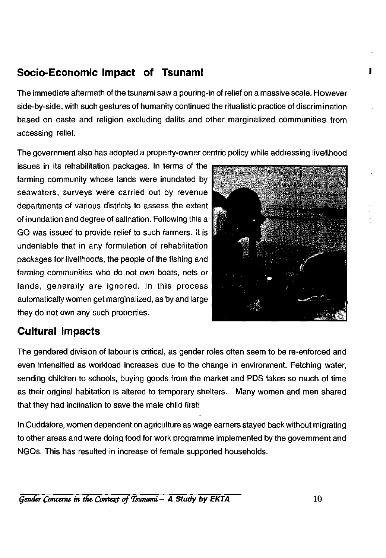#### **Socio-Economic Impact of Tsunami**

The immediate aftermath of the tsunami saw a pouring-in of relief on a massive scale. However side-by-side, with such gestures of humanity continued the ritualistic practice of discrimination based on caste and religion excluding dalits and other marginalized communities from accessing relief.

The government also has adopted a property-owner centric policy while addressing livelihood

issues in its rehabilitation packages. In terms of the farming community whose lands were inundated by seawaters, surveys were carried out by revenue departments of various districts to assess the extent of inundation and degree of salination. Following this a GO was issued to provide relief to such farmers. It is undeniable that in any formulation of rehabilitation packages for livelihoods, the people of the fishing and farming communities who do not own boats, nets or lands, generally are ignored. In this process automatically women get marginalized, as by and large they do not own any such properties.



#### **Cultural Impacts**

The gendered division of labour is critical, as gender roles often seem to be re-enforced and even intensified as workload increases due to the change in environment. Fetching water, sending children to schools, buying goods from the market and PDS takes so much of time as their original habitation is altered to temporary shelters. Many women and men shared that they had inclination to save the male child first!

In Cuddalore, women dependent on agriculture as wage earners stayed back without migrating to other areas and were doing food for work programme implemented by the government and NGOs. This has resulted in increase of female supported households.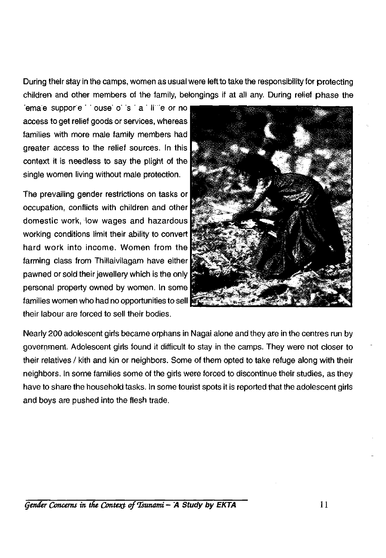During their stay in the camps, women as usual were left to take the responsibility for protecting children and other members of the family, belongings if at all any. During relief phase the

female supported ouse of sital little or no access to get relief goods or services, whereas families with more male family members had greater access to the relief sources. In this context it is needless to say the plight of the single women living without male protection.

The prevailing gender restrictions on tasks or occupation, conflicts with children and other domestic work, low wages and hazardous working conditions limit their ability to convert hard work into income. Women from the farming class from Thillaivilagam have either pawned or sold their jewellery which is the only personal property owned by women. In some families women who had no opportunities to sell their labour are forced to sell their bodies.



Nearly 200 adolescent girls became orphans in Nagai alone and they are in the centres run by government. Adolescent girls found it difficult to stay in the camps. They were not closer to their relatives / kith and kin or neighbors. Some of them opted to take refuge along with their neighbors. In some families some of the girls were forced to discontinue their studies, as they have to share the household tasks. In some tourist spots it is reported that the adolescent girls and boys are pushed into the flesh trade.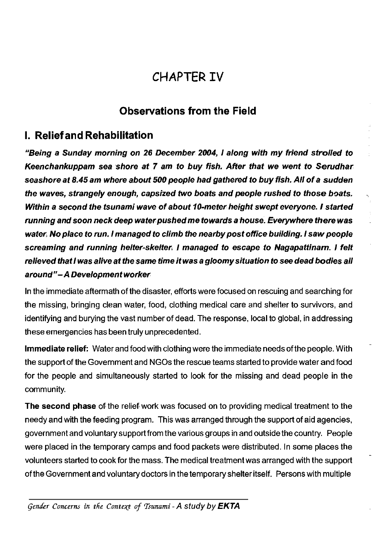### **CHAPTER IV**

#### **Observations from the Field**

#### **I. Relief and Rehabilitation**

*"Being a Sunday morning on 26 December 2004, I along with my friend strolled to Keenchankuppam sea shore at 7 am to buy fish. After that we went to Serudhar seashore at 8.45 am where about 500 people had gathered to buy fish. All of a sudden the waves, strangely enough, capsized two boats and people rushed to those boats. Within a second the tsunami wave of about 10-meter height swept everyone. I started running and soon neck deep water pushed me towards a house. Everywhere there was water. No place to run. I managed to climb the nearby post office building. I saw people screaming and running helter-skelter. I managed to escape to Nagapattinam. I felt relieved that I was alive at the same time it was a gloomy situation to see dead bodies all around"-A Development worker* 

In the immediate aftermath of the disaster, efforts were focused on rescuing and searching for the missing, bringing clean water, food, clothing medical care and shelter to survivors, and identifying and burying the vast number of dead. The response, local to global, in addressing these emergencies has been truly unprecedented.

**Immediate relief:** Water and food with clothing were the immediate needs of the people. With the support of the Government and NGOs the rescue teams started to provide water and food for the people and simultaneously started to look for the missing and dead people in the community.

**The second phase** of the relief work was focused on to providing medical treatment to the needy and with the feeding program. This was arranged through the support of aid agencies, government and voluntary support from the various groups in and outside the country. People were placed in the temporary camps and food packets were distributed. In some places the volunteers started to cook for the mass. The medical treatment was arranged with the support of the Government and voluntary doctors in the temporary shelter itself. Persons with multiple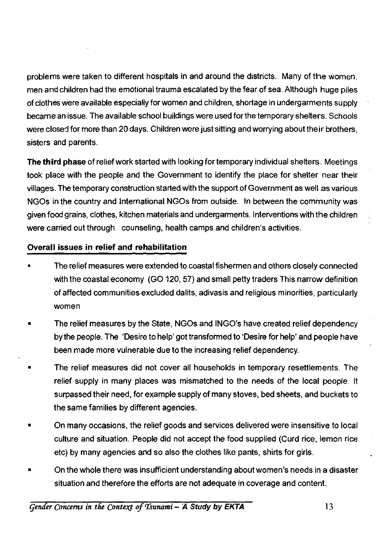problems were taken to different hospitals in and around the districts. Many of the women, men and children had the emotional trauma escalated by the fear of sea. Although huge piles of clothes were available especially for women and children, shortage in undergarments supply became an issue. The available school buildings were used for the temporary shelters. Schools were closed for more than 20 days. Children were just sitting and worrying about their brothers, sisters and parents.

**The third phase** of reliefwork started with looking fortemporary individual shelters. Meetings took place with the people and the Government to identify the place for shelter near their villages. The temporary construction started with the support of Government as well as various NGOs in the country and International NGOs from outside. In between the community was given food grains, clothes, kitchen materials and undergarments. Interventions with the children were carried out through counseling, health camps and children's activities.

#### **Overall issues in relief and rehabilitation**

- The relief measures were extended to coastal fishermen and others closely connected with the coastal economy (GO 120, 57) and small petty traders This narrow definition of affected communities excluded dalits, adivasis and religious minorities, particularly women
- The relief measures by the State, NGOs and INGO's have created relief dependency by the people. The 'Desire to help' got transformed to 'Desire for help' and people have been made more vulnerable due to the increasing relief dependency.
- The relief measures did not cover all households in temporary resettlements. The relief supply in many places was mismatched to the needs of the local people. It surpassed their need, for example supply of many stoves, bed sheets, and buckets to the same families by different agencies.
- On many occasions, the relief goods and services delivered were insensitive to local culture and situation. People did not accept the food supplied (Curd rice, lemon rice etc) by many agencies and so also the clothes like pants, shirts for girls.
- On the whole there was insufficient understanding about women's needs in a disaster situation and therefore the efforts are not adequate in coverage and content.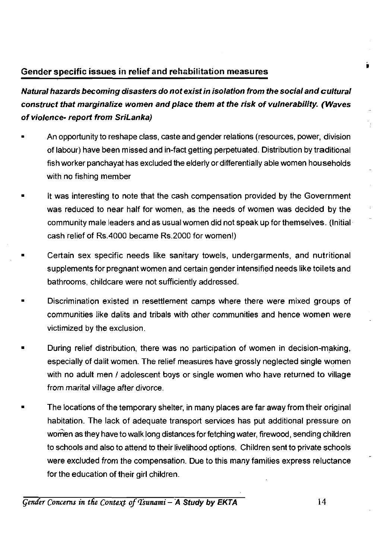#### **Gender specific issues in relief and rehabilitation measures**

*Natural hazards becoming disasters do not exist in isolation from the social and cultural construct that marginalize women and place them at the risk of vulnerability. (Waves of violence- report from SriLanka)* 

- An opportunity to reshape class, caste and gender relations (resources, power, division of labour) have been missed and in-fact getting perpetuated. Distribution by traditional fish worker panchayat has excluded the elderly or differentially able women households with no fishing member
- It was interesting to note that the cash compensation provided by the Government was reduced to near half for women, as the needs of women was decided by the community male leaders and as usual women did not speak up for themselves. (Initial cash relief of Rs.4000 became Rs.2000 for women!)
- Certain sex specific needs like sanitary towels, undergarments, and nutritional supplements for pregnant women and certain gender intensified needs like toilets and bathrooms, childcare were not sufficiently addressed.
- Discrimination existed in resettlement camps where there were mixed groups of communities like dalits and tribals with other communities and hence women were victimized by the exclusion.
- During relief distribution, there was no participation of women in decision-making, especially of dalit women. The relief measures have grossly neglected single women with no adult men / adolescent boys or single women who have returned to village from marital village after divorce.
- The locations of the temporary shelter, in many places are far away from their original habitation. The lack of adequate transport services has put additional pressure on women as they have to walk long distances for fetching water, firewood, sending children to schools and also to attend to their livelihood options. Children sent to private schools were excluded from the compensation. Due to this many families express reluctance for the education of their girl children.

*Gender Concerns in the Context of Tsunami* - A Study by EKTA 14

i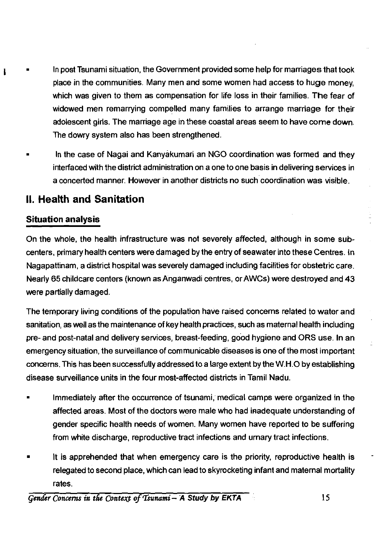- In post Tsunami situation, the Government provided some help for marriages that took place in the communities. Many men and some women had access to huge money, which was given to them as compensation for life loss in their families. The fear of widowed men remarrying compelled many families to arrange marriage for their adolescent girls. The marriage age in these coastal areas seem to have come down. The dowry system also has been strengthened.
	- In the case of Nagai and Kanyakumari an NGO coordination was formed and they interfaced with the district administration on a one to one basis in delivering services in a concerted manner. However in another districts no such coordination was visible.

#### <span id="page-20-0"></span>**II. Health and Sanitation**

#### **Situation analysis**

ı

On the whole, the health infrastructure was not severely affected, although in some subcenters, primary health centers were damaged by the entry of seawater into these Centres. In Nagapattinam, a district hospital was severely damaged including facilities for obstetric care. Nearly 65 childcare centers (known as Anganwadi centres, or AWCs) were destroyed and 43 were partially damaged.

The temporary living conditions of the population have raised concerns related to water and sanitation, as well as the maintenance of key health practices, such as maternal health including pre- and post-natal and delivery services, breast-feeding, good hygiene and ORS use. In an emergency situation, the surveillance of communicable diseases is one of the most important concerns. This has been successfully addressed to a large extent by the W.H.O by establishing disease surveillance units in the four most-affected districts in Tamil Nadu.

- Immediately after the occurrence of tsunami, medical camps were organized in the affected areas. Most of the doctors were male who had inadequate understanding of gender specific health needs of women. Many women have reported to be suffering from white discharge, reproductive tract infections and urnary tract infections.
- It is apprehended that when emergency care is the priority, reproductive health is relegated to second place, which can lead to skyrocketing infant and maternal mortality rates.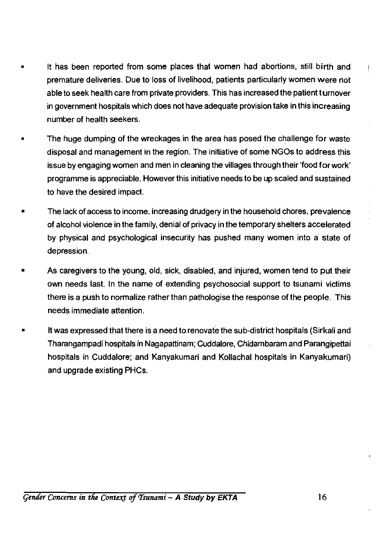- It has been reported from some places that women had abortions, still birth and premature deliveries. Due to loss of livelihood, patients particularly women were not able to seek health care from private providers. This has increased the patient turnover in government hospitals which does not have adequate provision take in this increasing number of health seekers.
- The huge dumping of the wreckages in the area has posed the challenge for waste disposal and management in the region. The initiative of some NGOs to address this issue by engaging women and men in cleaning the villages through their 'food for work' programme is appreciable. However this initiative needs to be up scaled and sustained to have the desired impact.
- The lack of access to income, increasing drudgery in the household chores, prevalence of alcohol violence in the family, denial of privacy in the temporary shelters accelerated by physical and psychological insecurity has pushed many women into a state of depression.
- As caregivers to the young, old, sick, disabled, and injured, women tend to put their own needs last. In the name of extending psychosocial support to tsunami victims there is a push to normalize rather than pathologise the response of the people. This needs immediate attention.
- It was expressed that there is a need to renovate the sub-district hospitals (Sirkali and Tharangampadi hospitals in Nagapattinam; Cuddalore, Chidambaram and Parangipettai hospitals in Cuddalore; and Kanyakumari and Kollachal hospitals in Kanyakumari) and upgrade existing PHCs.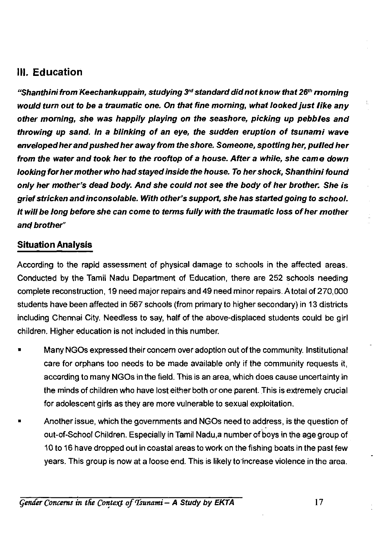#### **III. Education**

*"Shanthini from Keechankuppam, studying 3rd standard did not know that 26th morning would turn out to be a traumatic one. On that fine morning, what looked just like any other morning, she was happily playing on the seashore, picking up pebbles and throwing up sand. In a blinking of an eye, the sudden eruption of tsunami wave enveloped her and pushed her away from the shore. Someone, spotting her, pulled her from the water and took her to the rooftop of a house. After* **a** *while, she came down looking for her mother who had stayed inside the house. To her shock, Shanthini found only her mother's dead body. And she could not see the body of her brother. She is grief stricken and inconsolable. With other's support, she has started going to school. It will be long before she can come to terms fully with the traumatic loss other mother and brother"* 

#### **Situation Analysis**

According to the rapid assessment of physical damage to schools in the affected areas. Conducted by the Tamil Nadu Department of Education, there are 252 schools needing complete reconstruction, 19 need major repairs and 49 need minor repairs. A total of 270,000 students have been affected in 567 schools (from primary to higher secondary) in 13 districts including Chennai City. Needless to say, half of the above-displaced students could be girl children. Higher education is not included in this number.

- Many NGOs expressed their concern over adoption out of the community. Institutional care for orphans too needs to be made available only if the community requests it, according to many NGOs in the field. This is an area, which does cause uncertainty in the minds of children who have lost either both or one parent. This is extremely crucial for adolescent girls as they are more vulnerable to sexual exploitation.
- Another issue, which the governments and NGOs need to address, is the question of out-of-School Children. Especially in Tamil Nadu,a number of boys in the age group of 10 to 16 have dropped out in coastal areas to work on the fishing boats in the past few years. This group is now at a loose end. This is likely toincrease violence in the area.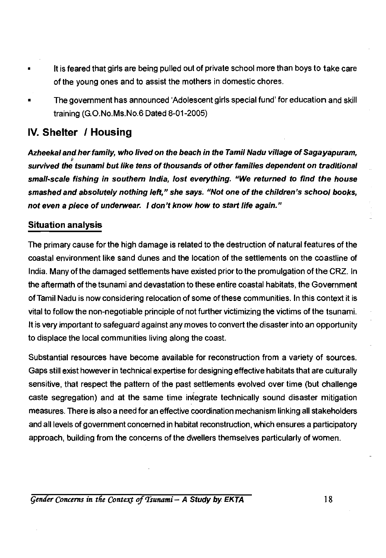- It is feared that girls are being pulled out of private school more than boys to take care of the young ones and to assist the mothers in domestic chores.
- The government has announced 'Adolescent girls special fund' for education and skill training (G.O.No.Ms.No.6 Dated 8-01-2005)

#### <span id="page-23-0"></span>**IV. Shelter / Housing**

*Azheekal and her family, who lived on the beach in the Tamil Nadu village of Sagayapuram, survived the tsunami but like tens of thousands of other families dependent on traditional small-scale fishing in southern India, lost everything. "We returned to find the house smashed and absolutely nothing left," she says. "Not one of the children's school books, not even a piece of underwear. I don't know how to start life again."* 

#### **Situation analysis**

The primary cause for the high damage is related to the destruction of natural features of the coastal environment like sand dunes and the location of the settlements on the coastline of India. Many of the damaged settlements have existed prior to the promulgation of the CRZ. In the aftermath of the tsunami and devastation to these entire coastal habitats, the Government of Tamil Nadu is now considering relocation of some of these communities. In this context it is vital to follow the non-negotiable principle of not further victimizing the victims of the tsunami. It is very important to safeguard against any moves to convert the disaster into an opportunity to displace the local communities living along the coast.

Substantial resources have become available for reconstruction from a variety of sources. Gaps still exist however in technical expertise for designing effective habitats that are culturally sensitive, that respect the pattern of the past settlements evolved over time (but challenge caste segregation) and at the same time integrate technically sound disaster mitigation measures. There is also a need for an effective coordination mechanism linking all stakeholders and all levels of government concerned in habitat reconstruction, which ensures a participatory approach, building from the concerns of the dwellers themselves particularly of women.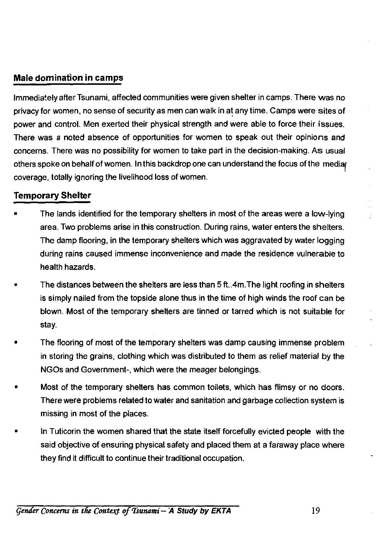#### **Male domination in camps**

Immediately after Tsunami, affected communities were given shelter in camps. There was no privacy for women, no sense of security as men can walk in at any time. Camps were sites of power and control. Men exerted their physical strength and were able to force their issues. There was a noted absence of opportunities for women to speak out their opinions and concerns. There was no possibility for women to take part in the decision-making. As usual others spoke on behalf of women. In this backdrop one can understand the focus of the media coverage, totally ignoring the livelihood loss of women.

#### **Temporary Shelter**

- The lands identified for the temporary shelters in most of the areas were a low-lying area. Two problems arise in this construction. During rains, water enters the shelters. The damp flooring, in the temporary shelters which was aggravated by water logging during rains caused immense inconvenience and made the residence vulnerable to health hazards.
- The distances between the shelters are less than 5 ft..4m.The light roofing in shelters is simply nailed from the topside alone thus in the time of high winds the roof can be blown. Most of the temporary shelters are tinned or tarred which is not suitable for stay.
- The flooring of most of the temporary shelters was damp causing immense problem in storing the grains, clothing which was distributed to them as relief material by the NGOs and Government-, which were the meager belongings.
- Most of the temporary shelters has common toilets, which has flimsy or no doors. There were problems related to water and sanitation and garbage collection system is missing in most of the places.
- In Tuticorin the women shared that the state itself forcefully evicted people with the said objective of ensuring physical safety and placed them at a faraway place where they find it difficult to continue their traditional occupation.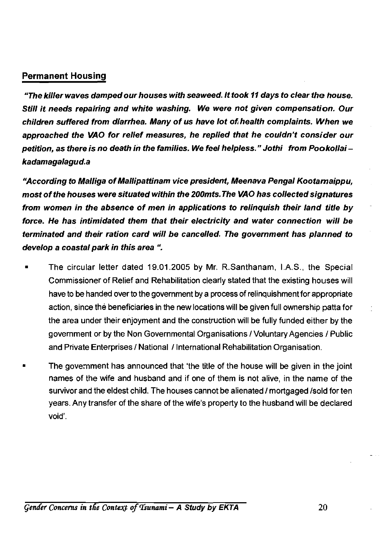#### **Permanent Housing**

*"The killer waves damped our houses with seaweed. It took 11 days to clear the house. Still it needs repairing and white washing. We were not given compensation. Our children suffered from diarrhea. Many of us have lot of health complaints. When we approached the VAO for relief measures, he replied that he couldn't consider our petition, as there is no death in the families. We feel helpless." Jothi from Pookollai kadamagalagud. a* 

*"According to Malliga of Mallipattinam vice president, Meenava Pengal Kootamaippu, most of the houses were situated within the 200mts. The VAO has collected signatures from women in the absence of men in applications to relinquish their land title by force. He has intimidated them that their electricity and water connection will be terminated and their ration card will be cancelled. The government has planned to develop a coastal park in this area ".* 

- The circular letter dated 19.01.2005 by Mr. R.Santhanam, I.A.S., the Special Commissioner of Relief and Rehabilitation clearly stated that the existing houses will have to be handed over to the government by a process of relinquishment for appropriate action, since the beneficiaries in the new locations will be given full ownership patta for the area under their enjoyment and the construction will be fully funded either by the government or by the Non Governmental Organisations / Voluntary Agencies / Public and Private Enterprises / National / International Rehabilitation Organisation.
- The government has announced that 'the title of the house will be given in the joint names of the wife and husband and if one of them is not alive, in the name of the survivor and the eldest child. The houses cannot be alienated / mortgaged /sold for ten years. Any transfer of the share of the wife's property to the husband will be declared void'.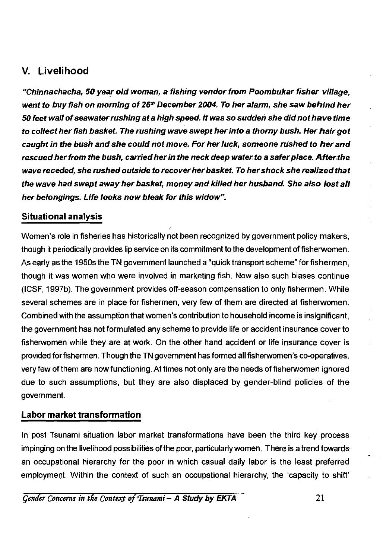#### <span id="page-26-0"></span>**V. Livelihood**

*"Chinnachacha, 50 year old woman, a fishing vendor from Poombukar fisher village, went to buy fish on morning of 26th December 2004. To her alarm, she saw behind her 50 feet wall ofseawater rushing at a high speed. It was so sudden she did not have time to collect her fish basket. The rushing wave swept her into a thorny bush. Her hair got caught in the bush and she could not move. For her luck, someone rushed to her and rescued her from the bush, carried her in the neck deep water to a safer place. After the wave receded, she rushed outside to recover her basket. To her shock she realized that the wave had swept away her basket, money and killed her husband. She also lost all her belongings. Life looks now bleak for this widow".* 

#### **Situational analysis**

Women's role in fisheries has historically not been recognized by government policy makers, though it periodically provides lip service on its commitment to the development of fisherwomen. As early as the 1950s the TN government launched a "quick transport scheme" for fishermen, though it was women who were involved in marketing fish. Now also such biases continue (ICSF, 1997b). The government provides off-season compensation to only fishermen. While several schemes are in place for fishermen, very few of them are directed at fisherwomen. Combined with the assumption that women's contribution to household income is insignificant, the government has not formulated any scheme to provide life or accident insurance cover to fisherwomen while they are at work. On the other hand accident or life insurance cover is provided for fishermen. Though the TN government has formed all fisherwomen's co-operatives, very few of them are now functioning. At times not only are the needs of fisherwomen ignored due to such assumptions, but they are also displaced by gender-blind policies of the government.

#### **Labor market transformation**

In post Tsunami situation labor market transformations have been the third key process impinging on the livelihood possibilities of the poor, particularly women. There is a trend towards an occupational hierarchy for the poor in which casual daily labor is the least preferred employment. Within the context of such an occupational hierarchy, the 'capacity to shift'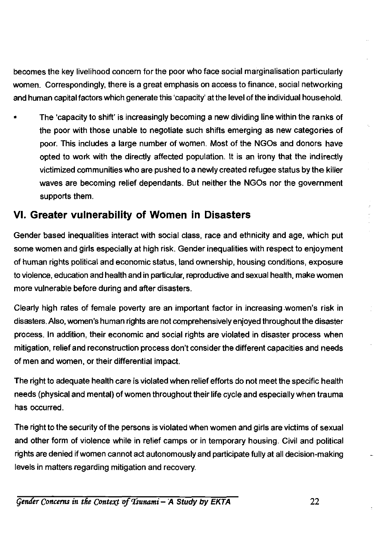becomes the key livelihood concern for the poor who face social marginalisation particularly women. Correspondingly, there is a great emphasis on access to finance, social networking and human capital factors which generate this 'capacity' at the level of the individual household.

• The 'capacity to shift' is increasingly becoming a new dividing line within the ranks of the poor with those unable to negotiate such shifts emerging as new categories of poor. This includes a large number of women. Most of the NGOs and donors have opted to work with the directly affected population. It is an irony that the indirectly victimized communities who are pushed to a newly created refugee status by the killer waves are becoming relief dependants. But neither the NGOs nor the government supports them.

#### **VI. Greater vulnerability of Women in Disasters**

Gender based inequalities interact with social class, race and ethnicity and age, which put some women and girls especially at high risk. Gender inequalities with respect to enjoyment of human rights political and economic status, land ownership, housing conditions, exposure to violence, education and health and in particular, reproductive and sexual health, make women more vulnerable before during and after disasters.

Clearly high rates of female poverty are an important factor in increasing women's risk in disasters. Also, women's human rights are not comprehensively enjoyed throughout the disaster process. In addition, their economic and social rights are violated in disaster process when mitigation, relief and reconstruction process don't consider the different capacities and needs of men and women, or their differential impact.

The right to adequate health care is violated when relief efforts do not meet the specific health needs (physical and mental) of women throughout their life cycle and especially when trauma has occurred.

The right to the security of the persons is violated when women and girls are victims of sexual and other form of violence while in relief camps or in temporary housing. Civil and political rights are denied if women cannot act autonomously and participate fully at all decision-making levels in matters regarding mitigation and recovery.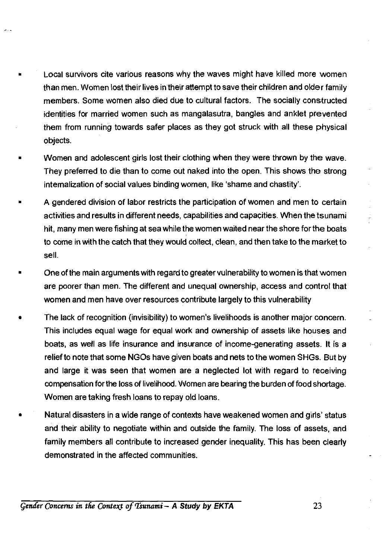- Local survivors cite various reasons why the waves might have killed more women than men. Women lost their lives in their attempt to save their children and older family members. Some women also died due to cultural factors. The socially constructed identities for married women such as mangalasutra, bangles and anklet prevented them from running towards safer places as they got struck with all these physical objects.
- Women and adolescent girls lost their clothing when they were thrown by the wave. They preferred to die than to come out naked into the open. This shows the strong internalization of social values binding women, like 'shame and chastity'.
- A gendered division of labor restricts the participation of women and men to certain activities and results in different needs, capabilities and capacities. When the tsunami hit, many men were fishing at sea while the women waited near the shore for the boats to come in with the catch that they would collect, clean, and then take to the market to sell.
- One of the main arguments with regard to greater vulnerability to women is that women are poorer than men. The different and unequal ownership, access and control that women and men have over resources contribute largely to this vulnerability
- The lack of recognition (invisibility) to women's livelihoods is another major concern. This includes equal wage for equal work and ownership of assets like houses and boats, as well as life insurance and insurance of income-generating assets. It is a relief to note that some NGOs have given boats and nets to the women SHGs. But by and large it was seen that women are a neglected lot with regard to receiving compensation for the loss of livelihood. Women are bearing the burden of food shortage. Women are taking fresh loans to repay old loans.
- Natural disasters in a wide range of contexts have weakened women and girls' status and their ability to negotiate within and outside the family. The loss of assets, and family members all contribute to increased gender inequality. This has been clearly demonstrated in the affected communities.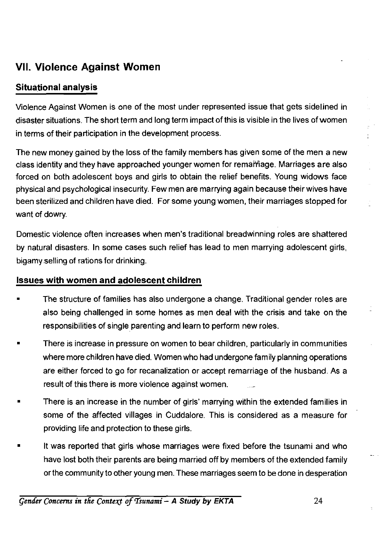#### **VII. Violence Against Women**

#### **Situational analysis**

Violence Against Women is one of the most under represented issue that gets sidelined in disaster situations. The short term and long term impact of this is visible in the lives of women in terms of their participation in the development process.

The new money gained by the loss of the family members has given some of the men a new class identity and they have approached younger women for remarriage. Marriages are also forced on both adolescent boys and girls to obtain the relief benefits. Young widows face physical and psychological insecurity. Few men are marrying again because their wives have been sterilized and children have died. For some young women, their marriages stopped for want of dowry.

Domestic violence often increases when men's traditional breadwinning roles are shattered by natural disasters. In some cases such relief has lead to men marrying adolescent girls, bigamy selling of rations for drinking.

#### **Issues with women and adolescent children**

- The structure of families has also undergone a change. Traditional gender roles are also being challenged in some homes as men deal with the crisis and take on the responsibilities of single parenting and learn to perform new roles.
- There is increase in pressure on women to bear children, particularly in communities where more children have died. Women who had undergone family planning operations are either forced to go for recanalization or accept remarriage of the husband. As a result of this there is more violence against women.
- There is an increase in the number of girls' marrying within the extended families in some of the affected villages in Cuddalore. This is considered as a measure for providing life and protection to these girls.
- It was reported that girls whose marriages were fixed before the tsunami and who have lost both their parents are being married off by members of the extended family or the community to other young men. These marriages seem to be done in desperation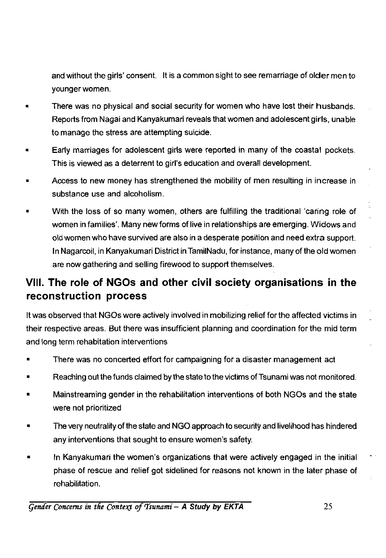and without the girls' consent. It is a common sight to see remarriage of older men to younger women.

- There was no physical and social security for women who have lost their husbands. Reports from Nagai and Kanyakumari reveals that women and adolescent girls, unable to manage the stress are attempting suicide.
- Early marriages for adolescent girls were reported in many of the coastal pockets. This is viewed as a deterrent to girl's education and overall development.
- Access to new money has strengthened the mobility of men resulting in increase in substance use and alcoholism.
- With the loss of so many women, others are fulfilling the traditional 'caring role of women in families'. Many new forms of live in relationships are emerging. Widows and old women who have survived are also in a desperate position and need extra support. In Nagarcoil, in Kanyakumari District inTamilNadu, for instance, many of the old women are now gathering and selling firewood to support themselves.

### **VIII. The role of NGOs and other civil society organisations in the reconstruction process**

It was observed that NGOs were actively involved in mobilizing relief for the affected victims in their respective areas. But there was insufficient planning and coordination for the mid term and long term rehabitation interventions

- There was no concerted effort for campaigning for a disaster management act
- Reaching out the funds claimed by the state to the victims of Tsunami was not monitored.
- Mainstreaming gender in the rehabilitation interventions of both NGOs and the state were not prioritized
- The very neutrality of the state and NGO approach to security and livelihood has hindered any interventions that sought to ensure women's safety.
- In Kanyakumari the women's organizations that were actively engaged in the initial phase of rescue and relief got sidelined for reasons not known in the later phase of rehabilitation.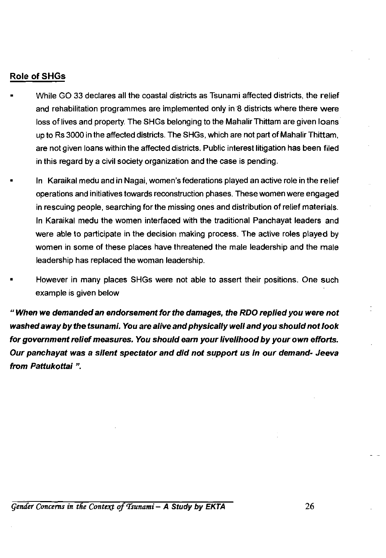#### **Role of SHGs**

- While GO 33 declares all the coastal districts as Tsunami affected districts, the relief and rehabilitation programmes are implemented only in 8 districts where there were loss of lives and property. The SHGs belonging to the Mahalir Thittam are given loans up to Rs 3000 in the affected districts. The SHGs, which are not part of Mahalir Thittam, are not given loans within the affected districts. Public interest litigation has been filed in this regard by a civil society organization and the case is pending.
	- In Karaikal medu and in Nagai, women's federations played an active role in the relief operations and initiatives towards reconstruction phases. These women were engaged in rescuing people, searching for the missing ones and distribution of relief materials. In Karaikal medu the women interfaced with the traditional Panchayat leaders and were able to participate in the decision making process. The active roles played by women in some of these places have threatened the male leadership and the male leadership has replaced the woman leadership.
- However in many places SHGs were not able to assert their positions. One such example is given below

*" When we demanded an endorsement for the damages, the RDO replied you were not washed away by the tsunami. You are alive and physically well and you should not look for government relief measures. You should earn your livelihood by your own efforts. Our panchayat was a silent spectator and did not support us in our demand- Jeeva from Pattukottai ".*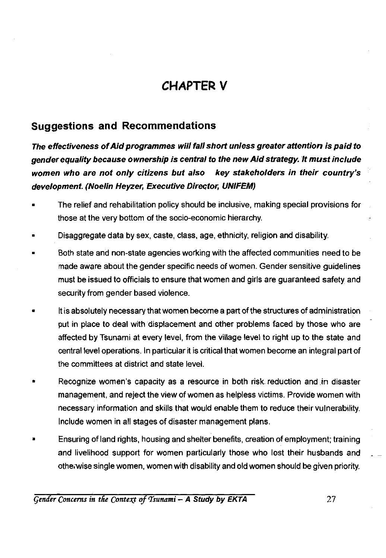### **CHAPTER V**

#### **Suggestions and Recommendations**

*The effectiveness of Aid programmes wiii fall short unless greater attention is paid to gender equality because ownership is central to the new Aid strategy. It must include women who are not only citizens but also key stakeholders in their country's development. (Noelin Heyzer, Executive Director, UNIFEM)* 

- The relief and rehabilitation policy should be inclusive, making special provisions for those at the very bottom of the socio-economic hierarchy.
- Disaggregate data by sex, caste, class, age, ethnicity, religion and disability.
- Both state and non-state agencies working with the affected communities need to be made aware about the gender specific needs of women. Gender sensitive guidelines must be issued to officials to ensure that women and girls are guaranteed safety and security from gender based violence.
- It is absolutely necessary that women become a part of the structures of administration put in place to deal with displacement and other problems faced by those who are affected by Tsunami at every level, from the village level to right up to the state and central level operations. In particular it is critical that women become an integral part of the committees at district and state level.
- Recognize women's capacity as a resource in both risk-reduction and,in disaster management, and reject the view of women as helpless victims. Provide women with necessary information and skills that would enable them to reduce their vulnerability. Include women in all stages of disaster management plans.
- Ensuring of land rights, housing and shelter benefits, creation of employment; training and livelihood support for women particularly those who lost their husbands and . otherwise single women, women with disability and old women should be given priority.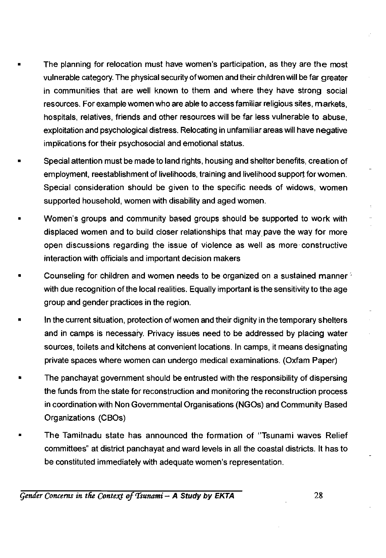- The planning for relocation must have women's participation, as they are the most vulnerable category. The physical security of women and their children will be far greater in communities that are well known to them and where they have strong social resources. For example women who are able to access familiar religious sites, markets, hospitals, relatives, friends and other resources will be far less vulnerable to abuse, exploitation and psychological distress. Relocating in unfamiliar areas will have negative implications for their psychosocial and emotional status.
- Special attention must be made to land rights, housing and shelter benefits, creation of employment, reestablishment of livelihoods, training and livelihood support for women. Special consideration should be given to the specific needs of widows, women supported household, women with disability and aged women.
- Women's groups and community based groups should be supported to work with displaced women and to build closer relationships that may pave the way for more open discussions regarding the issue of violence as well as more constructive interaction with officials and important decision makers
- Counseling for children and women needs to be organized on a sustained manner; with due recognition of the local realities. Equally important is the sensitivity to the age group and gender practices in the region.
- In the current situation, protection of women and their dignity in the temporary shelters and in camps is necessary Privacy issues need to be addressed by placing water sources, toilets and kitchens at convenient locations. In camps, it means designating private spaces where women can undergo medical examinations. (Oxfam Paper)
- The panchayat government should be entrusted with the responsibility of dispersing the funds from the state for reconstruction and monitoring the reconstruction process in coordination with Non Governmental Organisations (NGOs) and Community Based Organizations (CBOs)
- The Tamilnadu state has announced the formation of "Tsunami waves Relief committees" at district panchayat and ward levels in all the coastal districts. It has to be constituted immediately with adequate women's representation.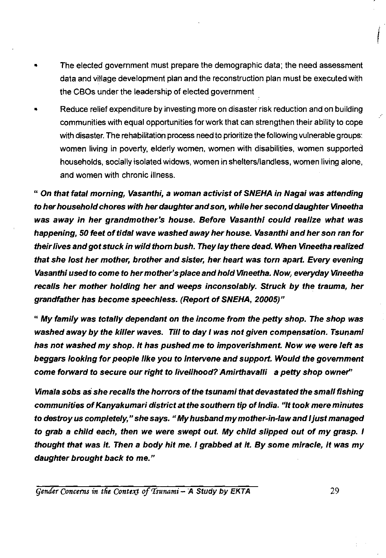- The elected government must prepare the demographic data; the need assessment data and village development plan and the reconstruction plan must be executed with the CBOs under the leadership of elected government
- Reduce relief expenditure by investing more on disaster risk reduction and on building communities with equal opportunities for work that can strengthen their ability to cope with disaster. The rehabilitation process need to prioritize the following vulnerable groups: women living in poverty, elderly women, women with disabilities, women supported households, socially isolated widows, women in shelters/landless, women living alone, and women with chronic illness.

*" On that fatal morning, Vasanthi, a woman activist of SNEHA in Nagai was attending to her household chores with her daughter and son, while her second daughter Vineetha was away in her grandmother's house. Before Vasanthi could realize what was happening, 50 feet of tidal wave washed away her house. Vasanthi and her son ran for their lives and got stuck in wild thorn bush. They lay there dead. When Vineetha realized that she lost her mother, brother and sister, her heart was torn apart. Every evening Vasanthi used to come to her mother's place and hold Vineetha. Now, everyday Vineetha recalls her mother holding her and weeps inconsolably. Struck by the trauma, her grandfather has become speechless. (Report of SNEHA, 20005)"* 

*" My family was totally dependant on the income from the petty shop. The shop was washed away by the killer waves. Till to day I was not given compensation. Tsunami has not washed my shop. It has pushed me to impoverishment. Now we were left as beggars looking for people like you to intervene and support. Would the government come forward to secure our right to livelihood? Amirthavalli a petty shop owner"* 

*Vimala sobs as she recalls the horrors of the tsunami that devastated the small fishing communities of Kanyakumari district at the southern tip of India. "It took mere minutes to destroy us completely," she says. " My husband my mother-in-law and I just managed to grab a child each, then we were swept out. My child slipped out of my grasp. I thought that was it. Then a body hit me. I grabbed at it. By some miracle, it was my daughter brought back to me."*